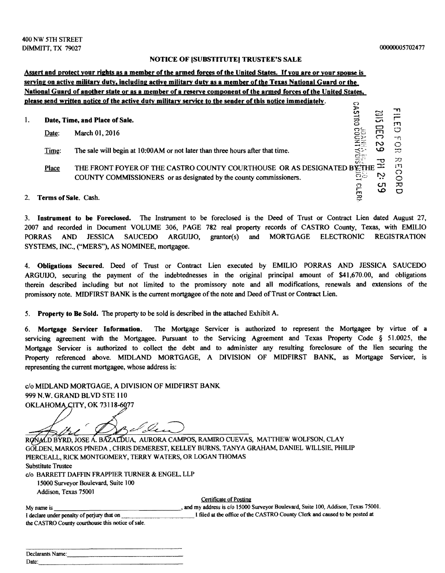## NOTICE OF ISUBSTITUTE) TRUSTEE'S SALE

## Assert and protect your rights as a member of the armed forces of the United States. If you are or your spouse is serving on active military duty, including active military duty as a member of the Texas National Guard or the National Guard of another state or as a member of a reserve component of the armed forces of the United States. please send written notice of the active duty military service to the sender of this notice immediately.  $\mathbf{S}$

| 1. |                         | Date, Time, and Place of Sale.                                                 | ပ<br>$\Xi$         | ٮ؞<br>$\overline{\mathbf{u}}$ | - 11<br>m    |
|----|-------------------------|--------------------------------------------------------------------------------|--------------------|-------------------------------|--------------|
|    | Date:                   | March 01, 2016                                                                 |                    | س<br>ా                        | O            |
|    |                         |                                                                                | <b>CONNIT</b>      | N                             | -11<br>O     |
|    | Time:                   | The sale will begin at 10:00 AM or not later than three hours after that time. | $\sum_{i=1}^{n}$   | ൶                             | $\mathbb{Z}$ |
|    | Place                   | THE FRONT FOYER OF THE CASTRO COUNTY COURTHOUSE OR AS DESIGNATED BYTHE         | $\widetilde{\phi}$ |                               | 70<br>111    |
|    |                         | COUNTY COMMISSIONERS or as designated by the county commissioners.             | ಕಟ                 | $\sim$<br>ه ه                 | ာ            |
|    |                         |                                                                                | ဥ<br>ጋ             | cл<br>ص                       | ᅎ<br>ு       |
|    | 2. Terms of Sale. Cash. |                                                                                |                    |                               |              |

3. Iostrument to be Foreclosed. The Instrument to be foreclosed is the Deed of Trust or Contract Lien dated August 27, 2007 and recorded in Document VOLUME 306, PAGE 782 real property records of CASTRO County, Texas, with EMILIO PORRAS AND JESSICA SAUCEDO ARGUIJO, grantor(s) and MORTGAGE ELECTRONIC REGISTRATION SYSTEMS, INC., ("MERS"), AS NOMINEE, mortgagee.

4. Obligations Secured. Deed of Trust or Contract Lien executed by EMILIO PORRAS AND JESSICA SAUCEDO ARGUIJO, securing the payment of the indebtednesses in the original principal amount of \$41,670.00, and obligations therein described including but not limited to the promissory note and all modifications, renewals and extensions of the promissory note. MIDFIRST BANK is the current mortgagee ofthe note and Deed ofTrust or Contract Lien.

5. Property to Be Sold. The property to be sold is described in the attached Exhibit A.

6. Mortgage Servicer Informatioo. The Mortgage Servicer is authorized to represent the Mortgagee by virtue of a servicing agreement with the Mortgagee. Pursuant to the Servicing Agreement and Texas Property Code § 51.0025, the Mortgage Servicer is authorized to collect the debt and to administer any resulting foreclosure of the lien securing the Property referenced above. MIDLAND MORTGAGE, A DIVISION OF MIDFIRST BANK, as Mortgage Servicer, is representing the current mortgagee, whose address is:

c/o MIDLAND MORTGAGE, A DIVISION OF MIDFIRST BANK 999 N.W. GRAND BLVD STE 110 OKLAHOMA CITY, OK 73118-6077

el des

RONALD BYRD, JOSE A. BAZALDUA, AURORA CAMPOS, RAMIRO CUEVAS, MATTHEW WOLFSON, CLAY GOLDEN, MARKOS PINEDA, CHRIS DEMEREST, KELLEY BURNS, TANYA GRAHAM, DANIEL WILLSIE, PHILIP PIERCEALL, RICK MONTGOMERY, TERRY WATERS, OR LOGAN THOMAS Substitute Trustee

c/o BARRETT DAFFIN FRAPPIER TURNER & ENGEL, LLP

15000 Surveyor Boulevard, Suite 100 Addison, Texas 75001

Certificate of Posting

 My name is \_\_\_\_\_\_\_\_\_\_\_\_\_\_--', and my address is c/o 15000 Surveyor Boulevard, Suite 100, Addison, Texas 75001. I declare under penalty of perjury that on I had at the office of the CASTRO County Clerk and caused to be posted at the CASTRO County courthouse this notice of sale.

| Declarants Name: |
|------------------|
| Date:            |